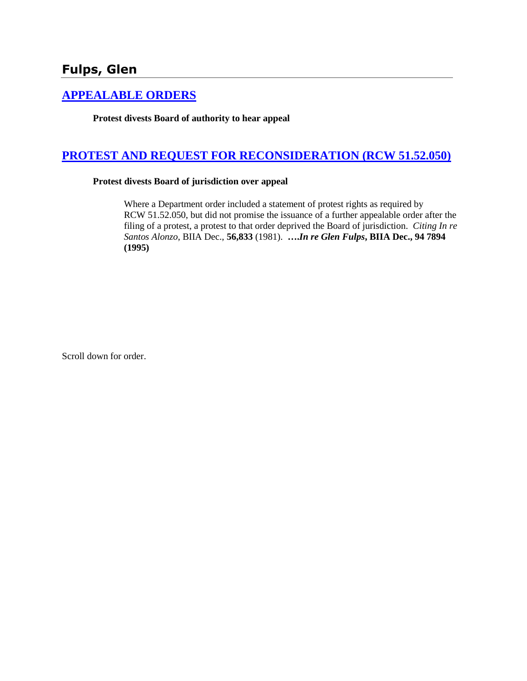# **[APPEALABLE ORDERS](http://www.biia.wa.gov/SDSubjectIndex.html#APPEALABLE_ORDERS)**

**Protest divests Board of authority to hear appeal**

# **[PROTEST AND REQUEST FOR RECONSIDERATION \(RCW 51.52.050\)](http://www.biia.wa.gov/SDSubjectIndex.html#PROTEST_AND_REQUEST_FOR_RECONSIDERATION)**

#### **Protest divests Board of jurisdiction over appeal**

Where a Department order included a statement of protest rights as required by RCW 51.52.050, but did not promise the issuance of a further appealable order after the filing of a protest, a protest to that order deprived the Board of jurisdiction. *Citing In re Santos Alonzo*, BIIA Dec., **56,833** (1981). **….***In re Glen Fulps***, BIIA Dec., 94 7894 (1995)** 

Scroll down for order.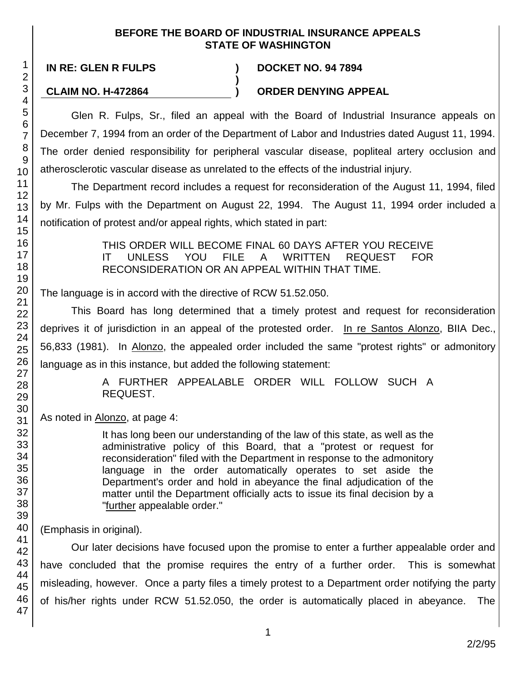### **BEFORE THE BOARD OF INDUSTRIAL INSURANCE APPEALS STATE OF WASHINGTON**

**)**

**IN RE: GLEN R FULPS ) DOCKET NO. 94 7894**

# **CLAIM NO. H-472864 ) ORDER DENYING APPEAL**

Glen R. Fulps, Sr., filed an appeal with the Board of Industrial Insurance appeals on December 7, 1994 from an order of the Department of Labor and Industries dated August 11, 1994. The order denied responsibility for peripheral vascular disease, popliteal artery occlusion and atherosclerotic vascular disease as unrelated to the effects of the industrial injury.

The Department record includes a request for reconsideration of the August 11, 1994, filed by Mr. Fulps with the Department on August 22, 1994. The August 11, 1994 order included a notification of protest and/or appeal rights, which stated in part:

> THIS ORDER WILL BECOME FINAL 60 DAYS AFTER YOU RECEIVE IT UNLESS YOU FILE A WRITTEN REQUEST FOR RECONSIDERATION OR AN APPEAL WITHIN THAT TIME.

The language is in accord with the directive of RCW 51.52.050.

This Board has long determined that a timely protest and request for reconsideration deprives it of jurisdiction in an appeal of the protested order. In re Santos Alonzo, BIIA Dec., 56,833 (1981). In Alonzo, the appealed order included the same "protest rights" or admonitory language as in this instance, but added the following statement:

> A FURTHER APPEALABLE ORDER WILL FOLLOW SUCH A REQUEST.

As noted in Alonzo, at page 4:

It has long been our understanding of the law of this state, as well as the administrative policy of this Board, that a "protest or request for reconsideration" filed with the Department in response to the admonitory language in the order automatically operates to set aside the Department's order and hold in abeyance the final adjudication of the matter until the Department officially acts to issue its final decision by a "further appealable order."

(Emphasis in original).

Our later decisions have focused upon the promise to enter a further appealable order and have concluded that the promise requires the entry of a further order. This is somewhat misleading, however. Once a party files a timely protest to a Department order notifying the party of his/her rights under RCW 51.52.050, the order is automatically placed in abeyance. The